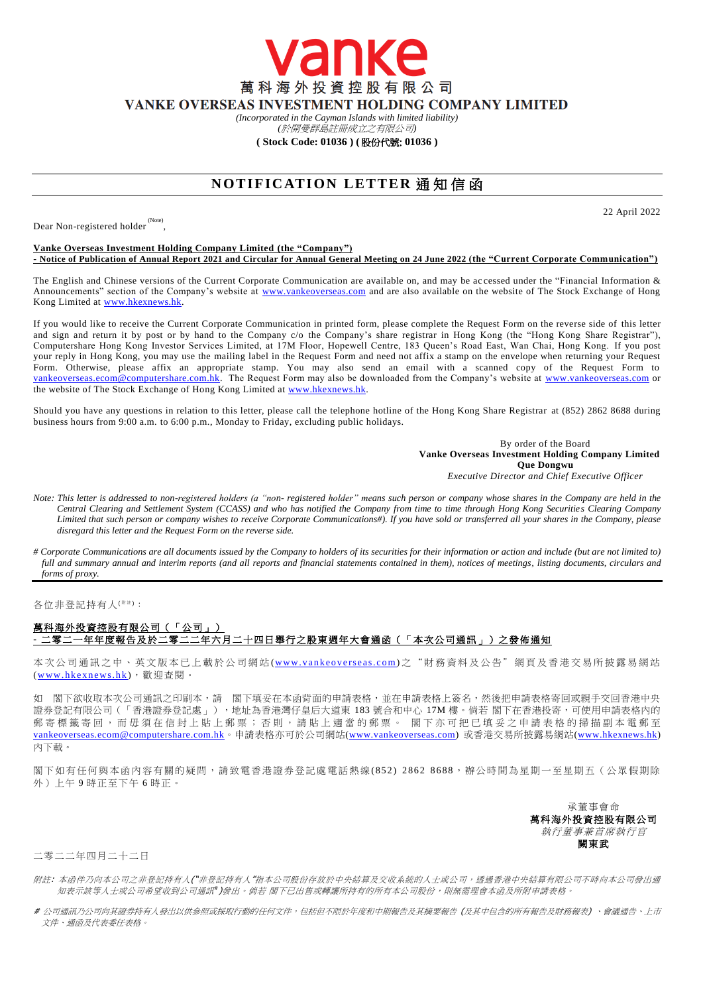萬科海外投資控股有限公司 VANKE OVERSEAS INVESTMENT HOLDING COMPANY LIMITED

anke

*(Incorporated in the Cayman Islands with limited liability)* 

*(*於開曼群島註冊成立之有限公司*)*

## **( Stock Code: 01036 ) (** 股份代號: **01036 )**

## **NOTIFICATION LETTER 通知信函**

Dear Non-registered holder<sup>(Note)</sup>,

22 April 2022

## **Vanke Overseas Investment Holding Company Limited (the "Company") - Notice of Publication of Annual Report 2021 and Circular for Annual General Meeting on 24 June 2022 (the "Current Corporate Communication")**

The English and Chinese versions of the Current Corporate Communication are available on, and may be ac cessed under the "Financial Information & Announcements" section of the Company's website at [www.vankeoverseas.com](http://www.vankeoverseas.com/) and are also available on the website of The Stock Exchange of Hong Kong Limited at [www.hkexnews.hk.](http://www.hkexnews.hk/)

If you would like to receive the Current Corporate Communication in printed form, please complete the Request Form on the reverse side of this letter and sign and return it by post or by hand to the Company c/o the Company's share registrar in Hong Kong (the "Hong Kong Share Registrar"), Computershare Hong Kong Investor Services Limited, at 17M Floor, Hopewell Centre, 183 Queen's Road East, Wan Chai, Hong Kong. If you post your reply in Hong Kong, you may use the mailing label in the Request Form and need not affix a stamp on the envelope when returning your Request Form. Otherwise, please affix an appropriate stamp. You may also send an email with a scanned copy of the Request Form to [vankeoverseas.ecom@computershare.com.hk.](mailto:vankeoverseas.ecom@computershare.com.hk) The Request Form may also be downloaded from the Company's website at [www.vankeoverseas.com](http://www.vankeoverseas.com/) or the website of The Stock Exchange of Hong Kong Limited at <u>www.hkexnews.hk</u>.

Should you have any questions in relation to this letter, please call the telephone hotline of the Hong Kong Share Registrar at (852) 2862 8688 during business hours from 9:00 a.m. to 6:00 p.m., Monday to Friday, excluding public holidays.

> By order of the Board **Vanke Overseas Investment Holding Company Limited Que Dongwu** *Executive Director and Chief Executive Officer*

- *Note: This letter is addressed to non-registered holders (a "non- registered holder" means such person or company whose shares in the Company are held in the Central Clearing and Settlement System (CCASS) and who has notified the Company from time to time through Hong Kong Securities Clearing Company Limited that such person or company wishes to receive Corporate Communications#). If you have sold or transferred all your shares in the Company, please disregard this letter and the Request Form on the reverse side.*
- *# Corporate Communications are all documents issued by the Company to holders of its securities for their information or action and include (but are not limited to) full and summary annual and interim reports (and all reports and financial statements contained in them), notices of meetings, listing documents, circulars and forms of proxy.*

各位非登記持有人<sup>( #注)</sup>:

## 萬科海外投資控股有限公司(「公司」) **-** 二零二一年年度報告及於二零二二年六月二十四日舉行之股東週年大會通函(「本次公司通訊」)之發佈通知

本次公司通訊之中、英文版本已上載於公司網站 (www.vankeoverseas.com) 之 "財 務 資 料 及公告"網頁及香港交易所披露易網站 (www.hkexnews.hk), 歡迎查閱。

如 閣下欲收取本次公司通訊之印刷本,請 閣下填妥在本函背面的申請表格,並在申請表格上簽名,然後把申請表格寄回或親手交回香港中央 證券登記有限公司(「香港證券登記處」),地址為香港灣仔皇后大道東 183 號合和中心 17M 樓。倘若 閣下在香港投寄,可使用申請表格內的 郵 寄 標 籤 寄 回 , 而 毋 須 在 信 封 上 貼 上 郵 票 ; 否 則 , 請 貼 上 適 當 的 郵 票 。 閣 下 亦 可 把 已 填 妥 之 申 請 表 格 的 掃 描 副 本 電 郵 至 [vankeoverseas.ecom@computershare.com.hk](mailto:vankeoverseas.ecom@computershare.com.hk)。申請表格亦可於公司網站[\(www.vankeoverseas.com\)](http://www.vankeoverseas.com/) 或香港交易所披露易網站[\(www.hkexnews.hk\)](http://www.hkexnews.hk/) 內下載。

閣下如有任何與本函內容有關的疑問,請致電香港證券登記處電話熱線(852) 2862 8688,辦公時間為星期一至星期五(公眾假期除 外)上午 9 時正至下午 6 時正。

> 承董事會命 萬科海外投資控股有限公司 執行董事兼首席執行官 闕東武

二零二二年四月二十二日

- 附註: 本函件乃向本公司之非登記持有人("非登記持有人"指本公司股份存放於中央結算及交收系統的人士或公司,透過香港中央結算有限公司不時向本公司發出通 知表示該等人士或公司希望收到公司通訊 )發出。倘若 閣下已出售或轉讓所持有的所有本公司股份,則無需理會本函及所附申請表格。
- # 公司通訊乃公司向其證券持有人發出以供參照或採取行動的任何文件,包括但不限於年度和中期報告及其摘要報告 (及其中包含的所有報告及財務報表) 、會議通告、上市 文件、通函及代表委任表格。